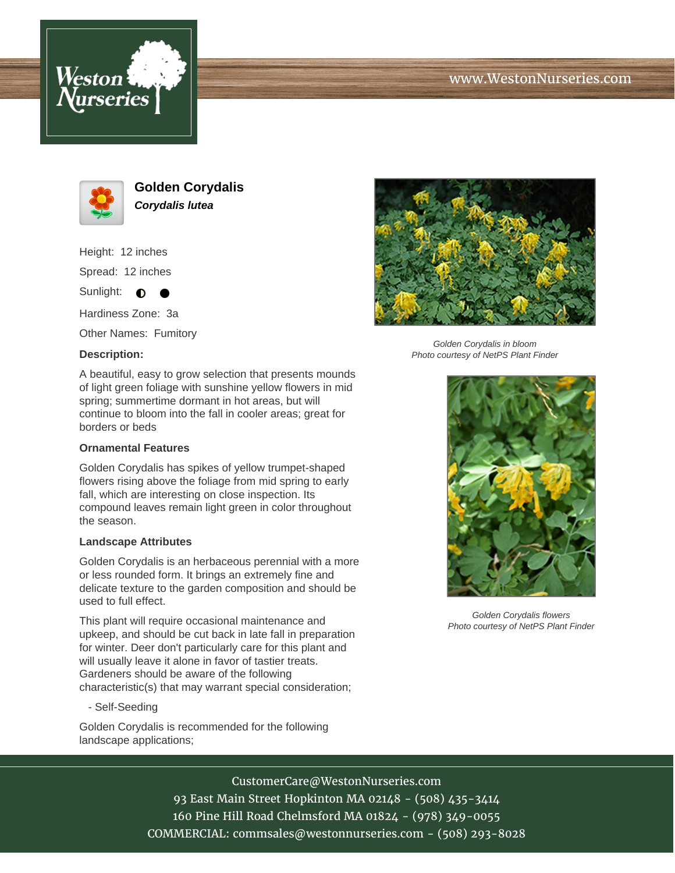





**Golden Corydalis Corydalis lutea**

Height: 12 inches Spread: 12 inches

Sunlight:  $\bullet$  $\bullet$ 

Hardiness Zone: 3a

Other Names: Fumitory

## **Description:**



Golden Corydalis in bloom Photo courtesy of NetPS Plant Finder

A beautiful, easy to grow selection that presents mounds of light green foliage with sunshine yellow flowers in mid spring; summertime dormant in hot areas, but will continue to bloom into the fall in cooler areas; great for borders or beds

## **Ornamental Features**

Golden Corydalis has spikes of yellow trumpet-shaped flowers rising above the foliage from mid spring to early fall, which are interesting on close inspection. Its compound leaves remain light green in color throughout the season.

## **Landscape Attributes**

Golden Corydalis is an herbaceous perennial with a more or less rounded form. It brings an extremely fine and delicate texture to the garden composition and should be used to full effect.

This plant will require occasional maintenance and upkeep, and should be cut back in late fall in preparation for winter. Deer don't particularly care for this plant and will usually leave it alone in favor of tastier treats. Gardeners should be aware of the following characteristic(s) that may warrant special consideration;

- Self-Seeding

Golden Corydalis is recommended for the following landscape applications;



Golden Corydalis flowers Photo courtesy of NetPS Plant Finder

CustomerCare@WestonNurseries.com

93 East Main Street Hopkinton MA 02148 - (508) 435-3414 160 Pine Hill Road Chelmsford MA 01824 - (978) 349-0055 COMMERCIAL: commsales@westonnurseries.com - (508) 293-8028